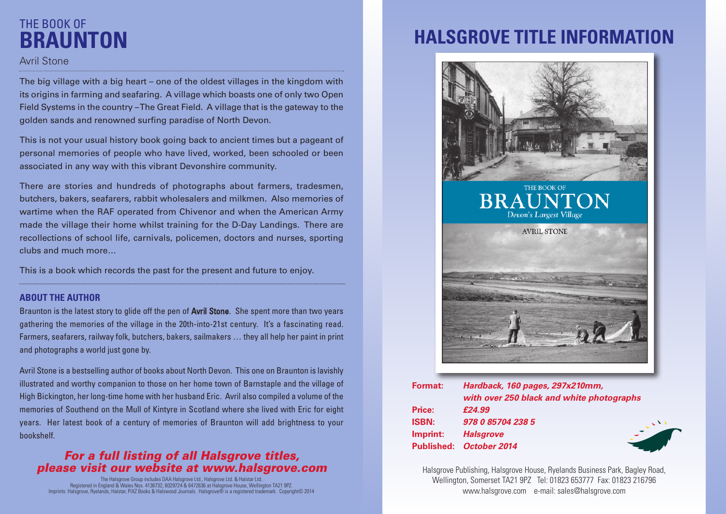## THE BOOK OF **BRAUNTON**

### Avril Stone

The big village with a big heart – one of the oldest villages in the kingdom with its origins in farming and seafaring. A village which boasts one of only two Open Field Systems in the country –The Great Field. A village that is the gateway to the golden sands and renowned surfing paradise of North Devon.

This is not your usual history book going back to ancient times but a pageant of personal memories of people who have lived, worked, been schooled or been associated in any way with this vibrant Devonshire community.

There are stories and hundreds of photographs about farmers, tradesmen, butchers, bakers, seafarers, rabbit wholesalers and milkmen. Also memories of wartime when the RAF operated from Chivenor and when the American Army made the village their home whilst training for the D-Day Landings. There are recollections of school life, carnivals, policemen, doctors and nurses, sporting clubs and much more…

This is a book which records the past for the present and future to enjoy.

#### **ABOUT THE AUTHOR**

Braunton is the latest story to glide off the pen of **Avril Stone.** She spent more than two years gathering the memories of the village in the 20th-into-21st century. It's a fascinating read. Farmers, seafarers, railway folk, butchers, bakers, sailmakers … they all help her paint in print and photographs a world just gone by.

Avril Stone is a bestselling author of books about North Devon. This one on Braunton is lavishly illustrated and worthy companion to those on her home town of Barnstaple and the village of High Bickington, her long-time home with her husband Eric. Avril also compiled a volume of the memories of Southend on the Mull of Kintyre in Scotland where she lived with Eric for eight years. Her latest book of a century of memories of Braunton will add brightness to your bookshelf.

### *For a full listing of all Halsgrove titles, please visit our website at www.halsgrove.com*

The Halsgrove Group includes DAA Halsgrove Ltd., Halsgrove Ltd. & Halstar Ltd. Registered in England & Wales Nos. 4136732, 6029724 & 6472636 at Halsgrove House, Wellington TA21 9PZ. Imprints: Halsgrove, Ryelands, Halstar, PiXZ Books & Halswood Journals. Halsgrove® is a registered trademark. Copyright© 2014

# **HALSGROVE TITLE INFORMATION**



| <b>Format:</b>    | Hardback, 160 pages, 297x210mm,           |
|-------------------|-------------------------------------------|
|                   | with over 250 black and white photographs |
| <b>Price:</b>     | £24.99                                    |
| <b>ISBN:</b>      | 978 0 85704 238 5                         |
| Imprint:          | <b>Halsgrove</b>                          |
| <b>Published:</b> | October 2014                              |

Halsgrove Publishing, Halsgrove House, Ryelands Business Park, Bagley Road, Wellington, Somerset TA21 9PZ Tel: 01823 653777 Fax: 01823 216796 www.halsgrove.com e-mail: sales@halsgrove.com